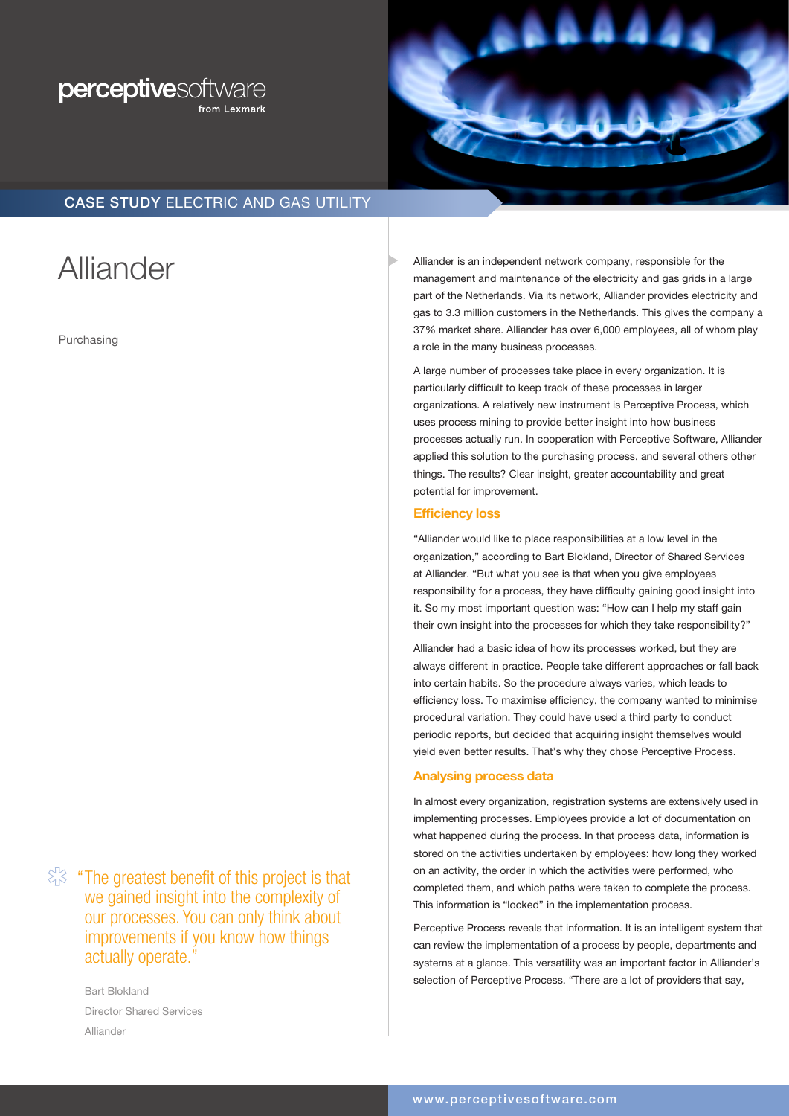



# CASE STUDY ELECTRIC AND GAS UTILITY

# **Alliander**

Purchasing

 $\Im$  "The greatest benefit of this project is that we gained insight into the complexity of our processes. You can only think about improvements if you know how things actually operate."

> Bart Blokland Director Shared Services Alliander

Alliander is an independent network company, responsible for the management and maintenance of the electricity and gas grids in a large part of the Netherlands. Via its network, Alliander provides electricity and gas to 3.3 million customers in the Netherlands. This gives the company a 37% market share. Alliander has over 6,000 employees, all of whom play a role in the many business processes.

A large number of processes take place in every organization. It is particularly difficult to keep track of these processes in larger organizations. A relatively new instrument is Perceptive Process, which uses process mining to provide better insight into how business processes actually run. In cooperation with Perceptive Software, Alliander applied this solution to the purchasing process, and several others other things. The results? Clear insight, greater accountability and great potential for improvement.

## Efficiency loss

"Alliander would like to place responsibilities at a low level in the organization," according to Bart Blokland, Director of Shared Services at Alliander. "But what you see is that when you give employees responsibility for a process, they have difficulty gaining good insight into it. So my most important question was: "How can I help my staff gain their own insight into the processes for which they take responsibility?"

Alliander had a basic idea of how its processes worked, but they are always different in practice. People take different approaches or fall back into certain habits. So the procedure always varies, which leads to efficiency loss. To maximise efficiency, the company wanted to minimise procedural variation. They could have used a third party to conduct periodic reports, but decided that acquiring insight themselves would yield even better results. That's why they chose Perceptive Process.

## Analysing process data

In almost every organization, registration systems are extensively used in implementing processes. Employees provide a lot of documentation on what happened during the process. In that process data, information is stored on the activities undertaken by employees: how long they worked on an activity, the order in which the activities were performed, who completed them, and which paths were taken to complete the process. This information is "locked" in the implementation process.

Perceptive Process reveals that information. It is an intelligent system that can review the implementation of a process by people, departments and systems at a glance. This versatility was an important factor in Alliander's selection of Perceptive Process. "There are a lot of providers that say,